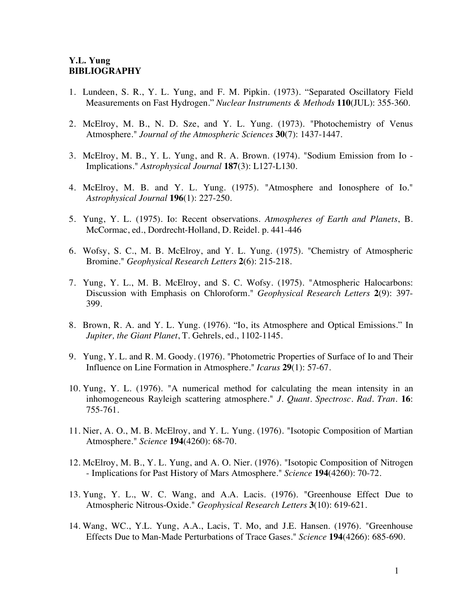## **Y.L. Yung BIBLIOGRAPHY**

- 1. Lundeen, S. R., Y. L. Yung, and F. M. Pipkin. (1973). "Separated Oscillatory Field Measurements on Fast Hydrogen." *Nuclear Instruments & Methods* **110**(JUL): 355-360.
- 2. McElroy, M. B., N. D. Sze, and Y. L. Yung. (1973). "Photochemistry of Venus Atmosphere." *Journal of the Atmospheric Sciences* **30**(7): 1437-1447.
- 3. McElroy, M. B., Y. L. Yung, and R. A. Brown. (1974). "Sodium Emission from Io Implications." *Astrophysical Journal* **187**(3): L127-L130.
- 4. McElroy, M. B. and Y. L. Yung. (1975). "Atmosphere and Ionosphere of Io." *Astrophysical Journal* **196**(1): 227-250.
- 5. Yung, Y. L. (1975). Io: Recent observations. *Atmospheres of Earth and Planets*, B. McCormac, ed., Dordrecht-Holland, D. Reidel. p. 441-446
- 6. Wofsy, S. C., M. B. McElroy, and Y. L. Yung. (1975). "Chemistry of Atmospheric Bromine." *Geophysical Research Letters* **2**(6): 215-218.
- 7. Yung, Y. L., M. B. McElroy, and S. C. Wofsy. (1975). "Atmospheric Halocarbons: Discussion with Emphasis on Chloroform." *Geophysical Research Letters* **2**(9): 397- 399.
- 8. Brown, R. A. and Y. L. Yung. (1976). "Io, its Atmosphere and Optical Emissions." In *Jupiter, the Giant Planet*, T. Gehrels, ed., 1102-1145.
- 9. Yung, Y. L. and R. M. Goody. (1976). "Photometric Properties of Surface of Io and Their Influence on Line Formation in Atmosphere." *Icarus* **29**(1): 57-67.
- 10. Yung, Y. L. (1976). "A numerical method for calculating the mean intensity in an inhomogeneous Rayleigh scattering atmosphere." *J. Quant. Spectrosc. Rad. Tran.* **16**: 755-761.
- 11. Nier, A. O., M. B. McElroy, and Y. L. Yung. (1976). "Isotopic Composition of Martian Atmosphere." *Science* **194**(4260): 68-70.
- 12. McElroy, M. B., Y. L. Yung, and A. O. Nier. (1976). "Isotopic Composition of Nitrogen - Implications for Past History of Mars Atmosphere." *Science* **194**(4260): 70-72.
- 13. Yung, Y. L., W. C. Wang, and A.A. Lacis. (1976). "Greenhouse Effect Due to Atmospheric Nitrous-Oxide." *Geophysical Research Letters* **3**(10): 619-621.
- 14. Wang, WC., Y.L. Yung, A.A., Lacis, T. Mo, and J.E. Hansen. (1976). "Greenhouse Effects Due to Man-Made Perturbations of Trace Gases." *Science* **194**(4266): 685-690.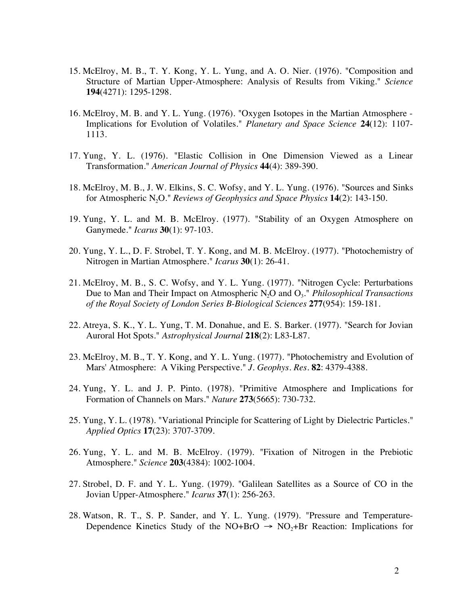- 15. McElroy, M. B., T. Y. Kong, Y. L. Yung, and A. O. Nier. (1976). "Composition and Structure of Martian Upper-Atmosphere: Analysis of Results from Viking." *Science*  **194**(4271): 1295-1298.
- 16. McElroy, M. B. and Y. L. Yung. (1976). "Oxygen Isotopes in the Martian Atmosphere Implications for Evolution of Volatiles." *Planetary and Space Science* **24**(12): 1107- 1113.
- 17. Yung, Y. L. (1976). "Elastic Collision in One Dimension Viewed as a Linear Transformation." *American Journal of Physics* **44**(4): 389-390.
- 18. McElroy, M. B., J. W. Elkins, S. C. Wofsy, and Y. L. Yung. (1976). "Sources and Sinks for Atmospheric N2O." *Reviews of Geophysics and Space Physics* **14**(2): 143-150.
- 19. Yung, Y. L. and M. B. McElroy. (1977). "Stability of an Oxygen Atmosphere on Ganymede." *Icarus* **30**(1): 97-103.
- 20. Yung, Y. L., D. F. Strobel, T. Y. Kong, and M. B. McElroy. (1977). "Photochemistry of Nitrogen in Martian Atmosphere." *Icarus* **30**(1): 26-41.
- 21. McElroy, M. B., S. C. Wofsy, and Y. L. Yung. (1977). "Nitrogen Cycle: Perturbations Due to Man and Their Impact on Atmospheric N<sub>2</sub>O and O<sub>3</sub>." *Philosophical Transactions of the Royal Society of London Series B-Biological Sciences* **277**(954): 159-181.
- 22. Atreya, S. K., Y. L. Yung, T. M. Donahue, and E. S. Barker. (1977). "Search for Jovian Auroral Hot Spots." *Astrophysical Journal* **218**(2): L83-L87.
- 23. McElroy, M. B., T. Y. Kong, and Y. L. Yung. (1977). "Photochemistry and Evolution of Mars' Atmosphere: A Viking Perspective." *J. Geophys. Res.* **82**: 4379-4388.
- 24. Yung, Y. L. and J. P. Pinto. (1978). "Primitive Atmosphere and Implications for Formation of Channels on Mars." *Nature* **273**(5665): 730-732.
- 25. Yung, Y. L. (1978). "Variational Principle for Scattering of Light by Dielectric Particles." *Applied Optics* **17**(23): 3707-3709.
- 26. Yung, Y. L. and M. B. McElroy. (1979). "Fixation of Nitrogen in the Prebiotic Atmosphere." *Science* **203**(4384): 1002-1004.
- 27. Strobel, D. F. and Y. L. Yung. (1979). "Galilean Satellites as a Source of CO in the Jovian Upper-Atmosphere." *Icarus* **37**(1): 256-263.
- 28. Watson, R. T., S. P. Sander, and Y. L. Yung. (1979). "Pressure and Temperature-Dependence Kinetics Study of the NO+BrO  $\rightarrow$  NO<sub>2</sub>+Br Reaction: Implications for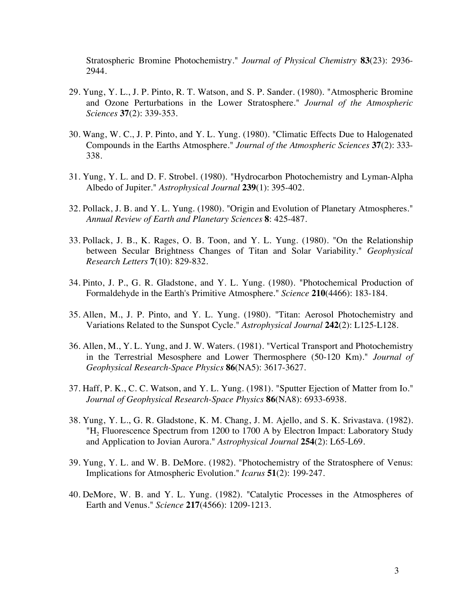Stratospheric Bromine Photochemistry." *Journal of Physical Chemistry* **83**(23): 2936- 2944.

- 29. Yung, Y. L., J. P. Pinto, R. T. Watson, and S. P. Sander. (1980). "Atmospheric Bromine and Ozone Perturbations in the Lower Stratosphere." *Journal of the Atmospheric Sciences* **37**(2): 339-353.
- 30. Wang, W. C., J. P. Pinto, and Y. L. Yung. (1980). "Climatic Effects Due to Halogenated Compounds in the Earths Atmosphere." *Journal of the Atmospheric Sciences* **37**(2): 333- 338.
- 31. Yung, Y. L. and D. F. Strobel. (1980). "Hydrocarbon Photochemistry and Lyman-Alpha Albedo of Jupiter." *Astrophysical Journal* **239**(1): 395-402.
- 32. Pollack, J. B. and Y. L. Yung. (1980). "Origin and Evolution of Planetary Atmospheres." *Annual Review of Earth and Planetary Sciences* **8**: 425-487.
- 33. Pollack, J. B., K. Rages, O. B. Toon, and Y. L. Yung. (1980). "On the Relationship between Secular Brightness Changes of Titan and Solar Variability." *Geophysical Research Letters* **7**(10): 829-832.
- 34. Pinto, J. P., G. R. Gladstone, and Y. L. Yung. (1980). "Photochemical Production of Formaldehyde in the Earth's Primitive Atmosphere." *Science* **210**(4466): 183-184.
- 35. Allen, M., J. P. Pinto, and Y. L. Yung. (1980). "Titan: Aerosol Photochemistry and Variations Related to the Sunspot Cycle." *Astrophysical Journal* **242**(2): L125-L128.
- 36. Allen, M., Y. L. Yung, and J. W. Waters. (1981). "Vertical Transport and Photochemistry in the Terrestrial Mesosphere and Lower Thermosphere (50-120 Km)." *Journal of Geophysical Research-Space Physics* **86**(NA5): 3617-3627.
- 37. Haff, P. K., C. C. Watson, and Y. L. Yung. (1981). "Sputter Ejection of Matter from Io." *Journal of Geophysical Research-Space Physics* **86**(NA8): 6933-6938.
- 38. Yung, Y. L., G. R. Gladstone, K. M. Chang, J. M. Ajello, and S. K. Srivastava. (1982). "H<sub>2</sub> Fluorescence Spectrum from 1200 to 1700 A by Electron Impact: Laboratory Study and Application to Jovian Aurora." *Astrophysical Journal* **254**(2): L65-L69.
- 39. Yung, Y. L. and W. B. DeMore. (1982). "Photochemistry of the Stratosphere of Venus: Implications for Atmospheric Evolution." *Icarus* **51**(2): 199-247.
- 40. DeMore, W. B. and Y. L. Yung. (1982). "Catalytic Processes in the Atmospheres of Earth and Venus." *Science* **217**(4566): 1209-1213.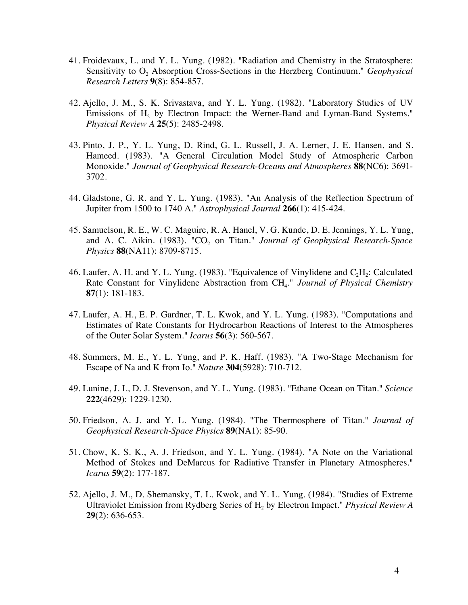- 41. Froidevaux, L. and Y. L. Yung. (1982). "Radiation and Chemistry in the Stratosphere: Sensitivity to O<sub>2</sub> Absorption Cross-Sections in the Herzberg Continuum." *Geophysical Research Letters* **9**(8): 854-857.
- 42. Ajello, J. M., S. K. Srivastava, and Y. L. Yung. (1982). "Laboratory Studies of UV Emissions of H<sub>2</sub> by Electron Impact: the Werner-Band and Lyman-Band Systems." *Physical Review A* **25**(5): 2485-2498.
- 43. Pinto, J. P., Y. L. Yung, D. Rind, G. L. Russell, J. A. Lerner, J. E. Hansen, and S. Hameed. (1983). "A General Circulation Model Study of Atmospheric Carbon Monoxide." *Journal of Geophysical Research-Oceans and Atmospheres* **88**(NC6): 3691- 3702.
- 44. Gladstone, G. R. and Y. L. Yung. (1983). "An Analysis of the Reflection Spectrum of Jupiter from 1500 to 1740 A." *Astrophysical Journal* **266**(1): 415-424.
- 45. Samuelson, R. E., W. C. Maguire, R. A. Hanel, V. G. Kunde, D. E. Jennings, Y. L. Yung, and A. C. Aikin. (1983). "CO<sub>2</sub> on Titan." *Journal of Geophysical Research-Space Physics* **88**(NA11): 8709-8715.
- 46. Laufer, A. H. and Y. L. Yung. (1983). "Equivalence of Vinylidene and  $C_2H_2$ : Calculated Rate Constant for Vinylidene Abstraction from CH4." *Journal of Physical Chemistry* **87**(1): 181-183.
- 47. Laufer, A. H., E. P. Gardner, T. L. Kwok, and Y. L. Yung. (1983). "Computations and Estimates of Rate Constants for Hydrocarbon Reactions of Interest to the Atmospheres of the Outer Solar System." *Icarus* **56**(3): 560-567.
- 48. Summers, M. E., Y. L. Yung, and P. K. Haff. (1983). "A Two-Stage Mechanism for Escape of Na and K from Io." *Nature* **304**(5928): 710-712.
- 49. Lunine, J. I., D. J. Stevenson, and Y. L. Yung. (1983). "Ethane Ocean on Titan." *Science* **222**(4629): 1229-1230.
- 50. Friedson, A. J. and Y. L. Yung. (1984). "The Thermosphere of Titan." *Journal of Geophysical Research-Space Physics* **89**(NA1): 85-90.
- 51. Chow, K. S. K., A. J. Friedson, and Y. L. Yung. (1984). "A Note on the Variational Method of Stokes and DeMarcus for Radiative Transfer in Planetary Atmospheres." *Icarus* **59**(2): 177-187.
- 52. Ajello, J. M., D. Shemansky, T. L. Kwok, and Y. L. Yung. (1984). "Studies of Extreme Ultraviolet Emission from Rydberg Series of H2 by Electron Impact." *Physical Review A* **29**(2): 636-653.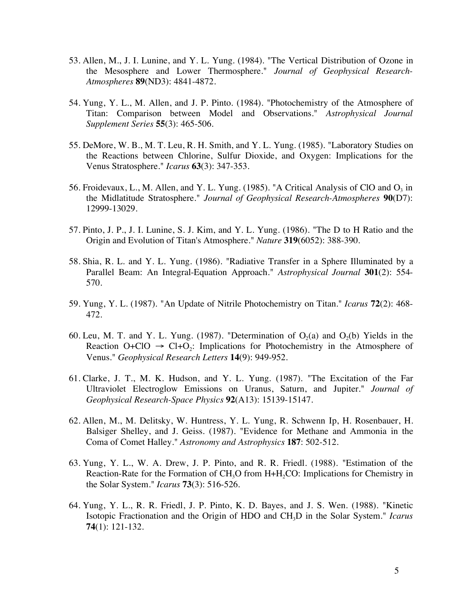- 53. Allen, M., J. I. Lunine, and Y. L. Yung. (1984). "The Vertical Distribution of Ozone in the Mesosphere and Lower Thermosphere." *Journal of Geophysical Research-Atmospheres* **89**(ND3): 4841-4872.
- 54. Yung, Y. L., M. Allen, and J. P. Pinto. (1984). "Photochemistry of the Atmosphere of Titan: Comparison between Model and Observations." *Astrophysical Journal Supplement Series* **55**(3): 465-506.
- 55. DeMore, W. B., M. T. Leu, R. H. Smith, and Y. L. Yung. (1985). "Laboratory Studies on the Reactions between Chlorine, Sulfur Dioxide, and Oxygen: Implications for the Venus Stratosphere." *Icarus* **63**(3): 347-353.
- 56. Froidevaux, L., M. Allen, and Y. L. Yung. (1985). "A Critical Analysis of ClO and  $O_3$  in the Midlatitude Stratosphere." *Journal of Geophysical Research-Atmospheres* **90**(D7): 12999-13029.
- 57. Pinto, J. P., J. I. Lunine, S. J. Kim, and Y. L. Yung. (1986). "The D to H Ratio and the Origin and Evolution of Titan's Atmosphere." *Nature* **319**(6052): 388-390.
- 58. Shia, R. L. and Y. L. Yung. (1986). "Radiative Transfer in a Sphere Illuminated by a Parallel Beam: An Integral-Equation Approach." *Astrophysical Journal* **301**(2): 554- 570.
- 59. Yung, Y. L. (1987). "An Update of Nitrile Photochemistry on Titan." *Icarus* **72**(2): 468- 472.
- 60. Leu, M. T. and Y. L. Yung. (1987). "Determination of  $O_2(a)$  and  $O_2(b)$  Yields in the Reaction  $O+ClO \rightarrow Cl+O_2$ : Implications for Photochemistry in the Atmosphere of Venus." *Geophysical Research Letters* **14**(9): 949-952.
- 61. Clarke, J. T., M. K. Hudson, and Y. L. Yung. (1987). "The Excitation of the Far Ultraviolet Electroglow Emissions on Uranus, Saturn, and Jupiter." *Journal of Geophysical Research-Space Physics* **92**(A13): 15139-15147.
- 62. Allen, M., M. Delitsky, W. Huntress, Y. L. Yung, R. Schwenn Ip, H. Rosenbauer, H. Balsiger Shelley, and J. Geiss. (1987). "Evidence for Methane and Ammonia in the Coma of Comet Halley." *Astronomy and Astrophysics* **187**: 502-512.
- 63. Yung, Y. L., W. A. Drew, J. P. Pinto, and R. R. Friedl. (1988). "Estimation of the Reaction-Rate for the Formation of  $CH<sub>3</sub>O$  from  $H<sub>+</sub>H<sub>2</sub>CO$ : Implications for Chemistry in the Solar System." *Icarus* **73**(3): 516-526.
- 64. Yung, Y. L., R. R. Friedl, J. P. Pinto, K. D. Bayes, and J. S. Wen. (1988). "Kinetic Isotopic Fractionation and the Origin of HDO and CH3D in the Solar System." *Icarus* **74**(1): 121-132.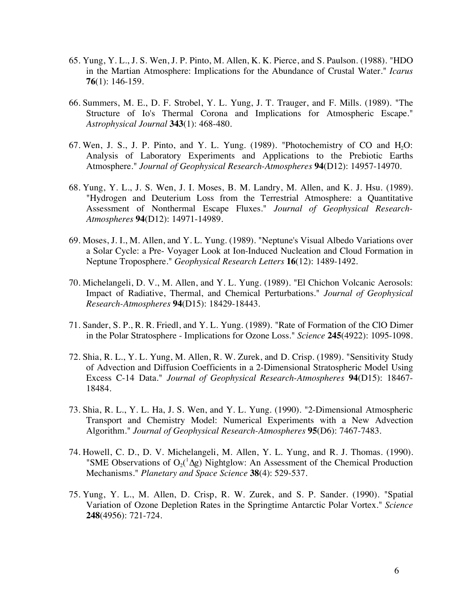- 65. Yung, Y. L., J. S. Wen, J. P. Pinto, M. Allen, K. K. Pierce, and S. Paulson. (1988). "HDO in the Martian Atmosphere: Implications for the Abundance of Crustal Water." *Icarus* **76**(1): 146-159.
- 66. Summers, M. E., D. F. Strobel, Y. L. Yung, J. T. Trauger, and F. Mills. (1989). "The Structure of Io's Thermal Corona and Implications for Atmospheric Escape." *Astrophysical Journal* **343**(1): 468-480.
- 67. Wen, J. S., J. P. Pinto, and Y. L. Yung.  $(1989)$ . "Photochemistry of CO and H<sub>2</sub>O: Analysis of Laboratory Experiments and Applications to the Prebiotic Earths Atmosphere." *Journal of Geophysical Research-Atmospheres* **94**(D12): 14957-14970.
- 68. Yung, Y. L., J. S. Wen, J. I. Moses, B. M. Landry, M. Allen, and K. J. Hsu. (1989). "Hydrogen and Deuterium Loss from the Terrestrial Atmosphere: a Quantitative Assessment of Nonthermal Escape Fluxes." *Journal of Geophysical Research-Atmospheres* **94**(D12): 14971-14989.
- 69. Moses, J. I., M. Allen, and Y. L. Yung. (1989). "Neptune's Visual Albedo Variations over a Solar Cycle: a Pre- Voyager Look at Ion-Induced Nucleation and Cloud Formation in Neptune Troposphere." *Geophysical Research Letters* **16**(12): 1489-1492.
- 70. Michelangeli, D. V., M. Allen, and Y. L. Yung. (1989). "El Chichon Volcanic Aerosols: Impact of Radiative, Thermal, and Chemical Perturbations." *Journal of Geophysical Research-Atmospheres* **94**(D15): 18429-18443.
- 71. Sander, S. P., R. R. Friedl, and Y. L. Yung. (1989). "Rate of Formation of the ClO Dimer in the Polar Stratosphere - Implications for Ozone Loss." *Science* **245**(4922): 1095-1098.
- 72. Shia, R. L., Y. L. Yung, M. Allen, R. W. Zurek, and D. Crisp. (1989). "Sensitivity Study of Advection and Diffusion Coefficients in a 2-Dimensional Stratospheric Model Using Excess C-14 Data." *Journal of Geophysical Research-Atmospheres* **94**(D15): 18467- 18484.
- 73. Shia, R. L., Y. L. Ha, J. S. Wen, and Y. L. Yung. (1990). "2-Dimensional Atmospheric Transport and Chemistry Model: Numerical Experiments with a New Advection Algorithm." *Journal of Geophysical Research-Atmospheres* **95**(D6): 7467-7483.
- 74. Howell, C. D., D. V. Michelangeli, M. Allen, Y. L. Yung, and R. J. Thomas. (1990). "SME Observations of  $O_2($ <sup>1</sup> $\Delta g$ ) Nightglow: An Assessment of the Chemical Production Mechanisms." *Planetary and Space Science* **38**(4): 529-537.
- 75. Yung, Y. L., M. Allen, D. Crisp, R. W. Zurek, and S. P. Sander. (1990). "Spatial Variation of Ozone Depletion Rates in the Springtime Antarctic Polar Vortex." *Science* **248**(4956): 721-724.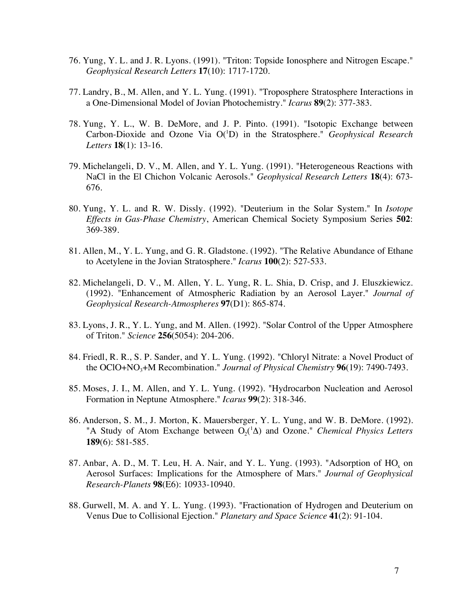- 76. Yung, Y. L. and J. R. Lyons. (1991). "Triton: Topside Ionosphere and Nitrogen Escape." *Geophysical Research Letters* **17**(10): 1717-1720.
- 77. Landry, B., M. Allen, and Y. L. Yung. (1991). "Troposphere Stratosphere Interactions in a One-Dimensional Model of Jovian Photochemistry." *Icarus* **89**(2): 377-383.
- 78. Yung, Y. L., W. B. DeMore, and J. P. Pinto. (1991). "Isotopic Exchange between Carbon-Dioxide and Ozone Via O(<sup>1</sup>D) in the Stratosphere." *Geophysical Research Letters* **18**(1): 13-16.
- 79. Michelangeli, D. V., M. Allen, and Y. L. Yung. (1991). "Heterogeneous Reactions with NaCl in the El Chichon Volcanic Aerosols." *Geophysical Research Letters* **18**(4): 673- 676.
- 80. Yung, Y. L. and R. W. Dissly. (1992). "Deuterium in the Solar System." In *Isotope Effects in Gas-Phase Chemistry*, American Chemical Society Symposium Series **502**: 369-389.
- 81. Allen, M., Y. L. Yung, and G. R. Gladstone. (1992). "The Relative Abundance of Ethane to Acetylene in the Jovian Stratosphere." *Icarus* **100**(2): 527-533.
- 82. Michelangeli, D. V., M. Allen, Y. L. Yung, R. L. Shia, D. Crisp, and J. Eluszkiewicz. (1992). "Enhancement of Atmospheric Radiation by an Aerosol Layer." *Journal of Geophysical Research-Atmospheres* **97**(D1): 865-874.
- 83. Lyons, J. R., Y. L. Yung, and M. Allen. (1992). "Solar Control of the Upper Atmosphere of Triton." *Science* **256**(5054): 204-206.
- 84. Friedl, R. R., S. P. Sander, and Y. L. Yung. (1992). "Chloryl Nitrate: a Novel Product of the OClO+NO3+M Recombination." *Journal of Physical Chemistry* **96**(19): 7490-7493.
- 85. Moses, J. I., M. Allen, and Y. L. Yung. (1992). "Hydrocarbon Nucleation and Aerosol Formation in Neptune Atmosphere." *Icarus* **99**(2): 318-346.
- 86. Anderson, S. M., J. Morton, K. Mauersberger, Y. L. Yung, and W. B. DeMore. (1992). "A Study of Atom Exchange between  $O_2(^1\Delta)$  and Ozone." *Chemical Physics Letters* **189**(6): 581-585.
- 87. Anbar, A. D., M. T. Leu, H. A. Nair, and Y. L. Yung. (1993). "Adsorption of  $HO_x$  on Aerosol Surfaces: Implications for the Atmosphere of Mars." *Journal of Geophysical Research-Planets* **98**(E6): 10933-10940.
- 88. Gurwell, M. A. and Y. L. Yung. (1993). "Fractionation of Hydrogen and Deuterium on Venus Due to Collisional Ejection." *Planetary and Space Science* **41**(2): 91-104.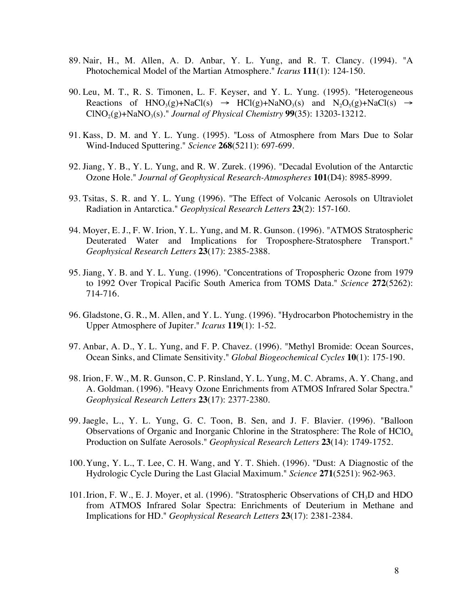- 89. Nair, H., M. Allen, A. D. Anbar, Y. L. Yung, and R. T. Clancy. (1994). "A Photochemical Model of the Martian Atmosphere." *Icarus* **111**(1): 124-150.
- 90. Leu, M. T., R. S. Timonen, L. F. Keyser, and Y. L. Yung. (1995). "Heterogeneous Reactions of  $HNO<sub>3</sub>(g)+NaCl(s) \rightarrow HCl(g)+NaNO<sub>3</sub>(s)$  and  $N<sub>2</sub>O<sub>5</sub>(g)+NaCl(s) \rightarrow$  $CINO<sub>2</sub>(g) + NaNO<sub>3</sub>(s).$ " *Journal of Physical Chemistry* **99**(35): 13203-13212.
- 91. Kass, D. M. and Y. L. Yung. (1995). "Loss of Atmosphere from Mars Due to Solar Wind-Induced Sputtering." *Science* **268**(5211): 697-699.
- 92. Jiang, Y. B., Y. L. Yung, and R. W. Zurek. (1996). "Decadal Evolution of the Antarctic Ozone Hole." *Journal of Geophysical Research-Atmospheres* **101**(D4): 8985-8999.
- 93. Tsitas, S. R. and Y. L. Yung (1996). "The Effect of Volcanic Aerosols on Ultraviolet Radiation in Antarctica." *Geophysical Research Letters* **23**(2): 157-160.
- 94. Moyer, E. J., F. W. Irion, Y. L. Yung, and M. R. Gunson. (1996). "ATMOS Stratospheric Deuterated Water and Implications for Troposphere-Stratosphere Transport." *Geophysical Research Letters* **23**(17): 2385-2388.
- 95. Jiang, Y. B. and Y. L. Yung. (1996). "Concentrations of Tropospheric Ozone from 1979 to 1992 Over Tropical Pacific South America from TOMS Data." *Science* **272**(5262): 714-716.
- 96. Gladstone, G. R., M. Allen, and Y. L. Yung. (1996). "Hydrocarbon Photochemistry in the Upper Atmosphere of Jupiter." *Icarus* **119**(1): 1-52.
- 97. Anbar, A. D., Y. L. Yung, and F. P. Chavez. (1996). "Methyl Bromide: Ocean Sources, Ocean Sinks, and Climate Sensitivity." *Global Biogeochemical Cycles* **10**(1): 175-190.
- 98. Irion, F. W., M. R. Gunson, C. P. Rinsland, Y. L. Yung, M. C. Abrams, A. Y. Chang, and A. Goldman. (1996). "Heavy Ozone Enrichments from ATMOS Infrared Solar Spectra." *Geophysical Research Letters* **23**(17): 2377-2380.
- 99. Jaegle, L., Y. L. Yung, G. C. Toon, B. Sen, and J. F. Blavier. (1996). "Balloon Observations of Organic and Inorganic Chlorine in the Stratosphere: The Role of HClO4 Production on Sulfate Aerosols." *Geophysical Research Letters* **23**(14): 1749-1752.
- 100.Yung, Y. L., T. Lee, C. H. Wang, and Y. T. Shieh. (1996). "Dust: A Diagnostic of the Hydrologic Cycle During the Last Glacial Maximum." *Science* **271**(5251): 962-963.
- 101. Irion, F. W., E. J. Moyer, et al. (1996). "Stratospheric Observations of CH<sub>3</sub>D and HDO from ATMOS Infrared Solar Spectra: Enrichments of Deuterium in Methane and Implications for HD." *Geophysical Research Letters* **23**(17): 2381-2384.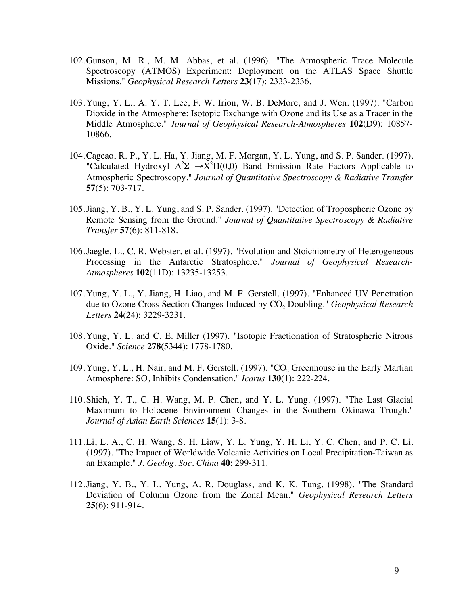- 102.Gunson, M. R., M. M. Abbas, et al. (1996). "The Atmospheric Trace Molecule Spectroscopy (ATMOS) Experiment: Deployment on the ATLAS Space Shuttle Missions." *Geophysical Research Letters* **23**(17): 2333-2336.
- 103.Yung, Y. L., A. Y. T. Lee, F. W. Irion, W. B. DeMore, and J. Wen. (1997). "Carbon Dioxide in the Atmosphere: Isotopic Exchange with Ozone and its Use as a Tracer in the Middle Atmosphere." *Journal of Geophysical Research-Atmospheres* **102**(D9): 10857- 10866.
- 104.Cageao, R. P., Y. L. Ha, Y. Jiang, M. F. Morgan, Y. L. Yung, and S. P. Sander. (1997). "Calculated Hydroxyl  $A^2\Sigma \rightarrow X^2\Pi(0,0)$  Band Emission Rate Factors Applicable to Atmospheric Spectroscopy." *Journal of Quantitative Spectroscopy & Radiative Transfer* **57**(5): 703-717.
- 105.Jiang, Y. B., Y. L. Yung, and S. P. Sander. (1997). "Detection of Tropospheric Ozone by Remote Sensing from the Ground." *Journal of Quantitative Spectroscopy & Radiative Transfer* **57**(6): 811-818.
- 106.Jaegle, L., C. R. Webster, et al. (1997). "Evolution and Stoichiometry of Heterogeneous Processing in the Antarctic Stratosphere." *Journal of Geophysical Research-Atmospheres* **102**(11D): 13235-13253.
- 107.Yung, Y. L., Y. Jiang, H. Liao, and M. F. Gerstell. (1997). "Enhanced UV Penetration due to Ozone Cross-Section Changes Induced by CO<sub>2</sub> Doubling." *Geophysical Research Letters* **24**(24): 3229-3231.
- 108.Yung, Y. L. and C. E. Miller (1997). "Isotopic Fractionation of Stratospheric Nitrous Oxide." *Science* **278**(5344): 1778-1780.
- 109. Yung, Y. L., H. Nair, and M. F. Gerstell. (1997). "CO<sub>2</sub> Greenhouse in the Early Martian Atmosphere: SO<sub>2</sub> Inhibits Condensation." *Icarus* **130**(1): 222-224.
- 110.Shieh, Y. T., C. H. Wang, M. P. Chen, and Y. L. Yung. (1997). "The Last Glacial Maximum to Holocene Environment Changes in the Southern Okinawa Trough." *Journal of Asian Earth Sciences* **15**(1): 3-8.
- 111.Li, L. A., C. H. Wang, S. H. Liaw, Y. L. Yung, Y. H. Li, Y. C. Chen, and P. C. Li. (1997). "The Impact of Worldwide Volcanic Activities on Local Precipitation-Taiwan as an Example." *J. Geolog. Soc. China* **40**: 299-311.
- 112.Jiang, Y. B., Y. L. Yung, A. R. Douglass, and K. K. Tung. (1998). "The Standard Deviation of Column Ozone from the Zonal Mean." *Geophysical Research Letters* **25**(6): 911-914.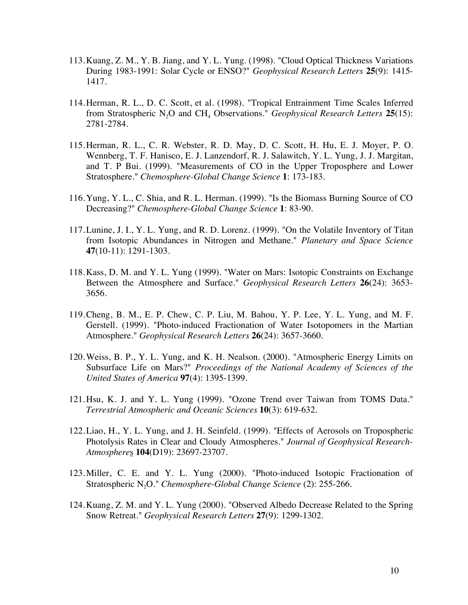- 113.Kuang, Z. M., Y. B. Jiang, and Y. L. Yung. (1998). "Cloud Optical Thickness Variations During 1983-1991: Solar Cycle or ENSO?" *Geophysical Research Letters* **25**(9): 1415- 1417.
- 114.Herman, R. L., D. C. Scott, et al. (1998). "Tropical Entrainment Time Scales Inferred from Stratospheric N<sub>2</sub>O and CH<sub>4</sub> Observations." *Geophysical Research Letters* 25(15): 2781-2784.
- 115.Herman, R. L., C. R. Webster, R. D. May, D. C. Scott, H. Hu, E. J. Moyer, P. O. Wennberg, T. F. Hanisco, E. J. Lanzendorf, R. J. Salawitch, Y. L. Yung, J. J. Margitan, and T. P Bui. (1999). "Measurements of CO in the Upper Troposphere and Lower Stratosphere." *Chemosphere-Global Change Science* **1**: 173-183.
- 116.Yung, Y. L., C. Shia, and R. L. Herman. (1999). "Is the Biomass Burning Source of CO Decreasing?" *Chemosphere-Global Change Science* **1**: 83-90.
- 117.Lunine, J. I., Y. L. Yung, and R. D. Lorenz. (1999). "On the Volatile Inventory of Titan from Isotopic Abundances in Nitrogen and Methane." *Planetary and Space Science* **47**(10-11): 1291-1303.
- 118.Kass, D. M. and Y. L. Yung (1999). "Water on Mars: Isotopic Constraints on Exchange Between the Atmosphere and Surface." *Geophysical Research Letters* **26**(24): 3653- 3656.
- 119.Cheng, B. M., E. P. Chew, C. P. Liu, M. Bahou, Y. P. Lee, Y. L. Yung, and M. F. Gerstell. (1999). "Photo-induced Fractionation of Water Isotopomers in the Martian Atmosphere." *Geophysical Research Letters* **26**(24): 3657-3660.
- 120.Weiss, B. P., Y. L. Yung, and K. H. Nealson. (2000). "Atmospheric Energy Limits on Subsurface Life on Mars?" *Proceedings of the National Academy of Sciences of the United States of America* **97**(4): 1395-1399.
- 121.Hsu, K. J. and Y. L. Yung (1999). "Ozone Trend over Taiwan from TOMS Data." *Terrestrial Atmospheric and Oceanic Sciences* **10**(3): 619-632.
- 122.Liao, H., Y. L. Yung, and J. H. Seinfeld. (1999). "Effects of Aerosols on Tropospheric Photolysis Rates in Clear and Cloudy Atmospheres." *Journal of Geophysical Research-Atmosphere*s **104**(D19): 23697-23707.
- 123.Miller, C. E. and Y. L. Yung (2000). "Photo-induced Isotopic Fractionation of Stratospheric N2O." *Chemosphere-Global Change Science* (2): 255-266.
- 124.Kuang, Z. M. and Y. L. Yung (2000). "Observed Albedo Decrease Related to the Spring Snow Retreat." *Geophysical Research Letters* **27**(9): 1299-1302.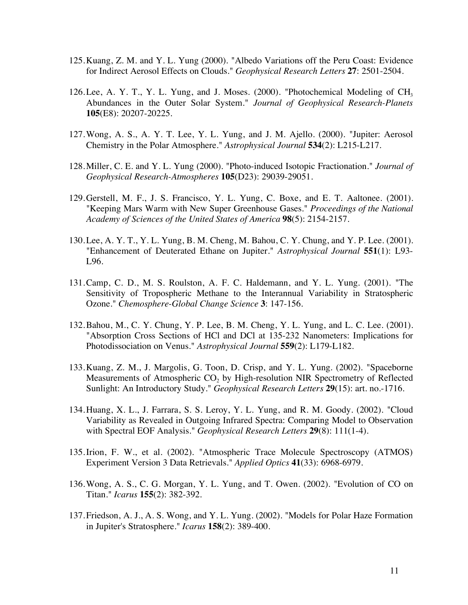- 125.Kuang, Z. M. and Y. L. Yung (2000). "Albedo Variations off the Peru Coast: Evidence for Indirect Aerosol Effects on Clouds." *Geophysical Research Letters* **27**: 2501-2504.
- 126. Lee, A. Y. T., Y. L. Yung, and J. Moses. (2000). "Photochemical Modeling of CH<sub>3</sub> Abundances in the Outer Solar System." *Journal of Geophysical Research-Planets* **105**(E8): 20207-20225.
- 127.Wong, A. S., A. Y. T. Lee, Y. L. Yung, and J. M. Ajello. (2000). "Jupiter: Aerosol Chemistry in the Polar Atmosphere." *Astrophysical Journal* **534**(2): L215-L217.
- 128.Miller, C. E. and Y. L. Yung (2000). "Photo-induced Isotopic Fractionation." *Journal of Geophysical Research-Atmospheres* **105**(D23): 29039-29051.
- 129.Gerstell, M. F., J. S. Francisco, Y. L. Yung, C. Boxe, and E. T. Aaltonee. (2001). "Keeping Mars Warm with New Super Greenhouse Gases." *Proceedings of the National Academy of Sciences of the United States of America* **98**(5): 2154-2157.
- 130.Lee, A. Y. T., Y. L. Yung, B. M. Cheng, M. Bahou, C. Y. Chung, and Y. P. Lee. (2001). "Enhancement of Deuterated Ethane on Jupiter." *Astrophysical Journal* **551**(1): L93- L96.
- 131.Camp, C. D., M. S. Roulston, A. F. C. Haldemann, and Y. L. Yung. (2001). "The Sensitivity of Tropospheric Methane to the Interannual Variability in Stratospheric Ozone." *Chemosphere-Global Change Science* **3**: 147-156.
- 132.Bahou, M., C. Y. Chung, Y. P. Lee, B. M. Cheng, Y. L. Yung, and L. C. Lee. (2001). "Absorption Cross Sections of HCl and DCl at 135-232 Nanometers: Implications for Photodissociation on Venus." *Astrophysical Journal* **559**(2): L179-L182.
- 133.Kuang, Z. M., J. Margolis, G. Toon, D. Crisp, and Y. L. Yung. (2002). "Spaceborne Measurements of Atmospheric  $CO<sub>2</sub>$  by High-resolution NIR Spectrometry of Reflected Sunlight: An Introductory Study." *Geophysical Research Letters* **29**(15): art. no.-1716.
- 134.Huang, X. L., J. Farrara, S. S. Leroy, Y. L. Yung, and R. M. Goody. (2002). "Cloud Variability as Revealed in Outgoing Infrared Spectra: Comparing Model to Observation with Spectral EOF Analysis." *Geophysical Research Letters* **29**(8): 111(1-4).
- 135.Irion, F. W., et al. (2002). "Atmospheric Trace Molecule Spectroscopy (ATMOS) Experiment Version 3 Data Retrievals." *Applied Optics* **41**(33): 6968-6979.
- 136.Wong, A. S., C. G. Morgan, Y. L. Yung, and T. Owen. (2002). "Evolution of CO on Titan." *Icarus* **155**(2): 382-392.
- 137.Friedson, A. J., A. S. Wong, and Y. L. Yung. (2002). "Models for Polar Haze Formation in Jupiter's Stratosphere." *Icarus* **158**(2): 389-400.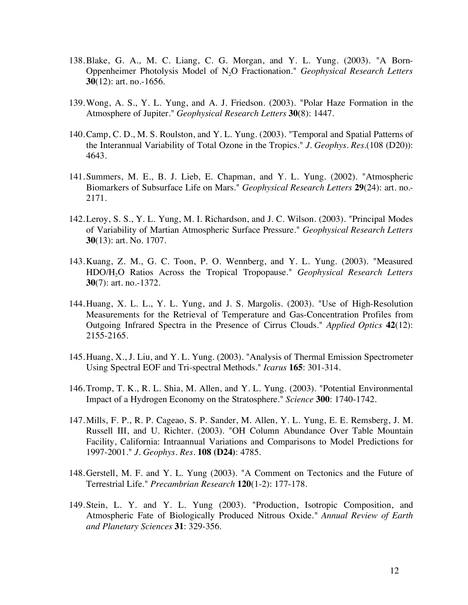- 138.Blake, G. A., M. C. Liang, C. G. Morgan, and Y. L. Yung. (2003). "A Born-Oppenheimer Photolysis Model of N2O Fractionation." *Geophysical Research Letters* **30**(12): art. no.-1656.
- 139.Wong, A. S., Y. L. Yung, and A. J. Friedson. (2003). "Polar Haze Formation in the Atmosphere of Jupiter." *Geophysical Research Letters* **30**(8): 1447.
- 140.Camp, C. D., M. S. Roulston, and Y. L. Yung. (2003). "Temporal and Spatial Patterns of the Interannual Variability of Total Ozone in the Tropics." *J. Geophys. Res.*(108 (D20)): 4643.
- 141.Summers, M. E., B. J. Lieb, E. Chapman, and Y. L. Yung. (2002). "Atmospheric Biomarkers of Subsurface Life on Mars." *Geophysical Research Letters* **29**(24): art. no.- 2171.
- 142.Leroy, S. S., Y. L. Yung, M. I. Richardson, and J. C. Wilson. (2003). "Principal Modes of Variability of Martian Atmospheric Surface Pressure." *Geophysical Research Letters* **30**(13): art. No. 1707.
- 143.Kuang, Z. M., G. C. Toon, P. O. Wennberg, and Y. L. Yung. (2003). "Measured HDO/H2O Ratios Across the Tropical Tropopause." *Geophysical Research Letters* **30**(7): art. no.-1372.
- 144.Huang, X. L. L., Y. L. Yung, and J. S. Margolis. (2003). "Use of High-Resolution Measurements for the Retrieval of Temperature and Gas-Concentration Profiles from Outgoing Infrared Spectra in the Presence of Cirrus Clouds." *Applied Optics* **42**(12): 2155-2165.
- 145.Huang, X., J. Liu, and Y. L. Yung. (2003). "Analysis of Thermal Emission Spectrometer Using Spectral EOF and Tri-spectral Methods." *Icarus* **165**: 301-314.
- 146.Tromp, T. K., R. L. Shia, M. Allen, and Y. L. Yung. (2003). "Potential Environmental Impact of a Hydrogen Economy on the Stratosphere." *Science* **300**: 1740-1742.
- 147.Mills, F. P., R. P. Cageao, S. P. Sander, M. Allen, Y. L. Yung, E. E. Remsberg, J. M. Russell III, and U. Richter. (2003). "OH Column Abundance Over Table Mountain Facility, California: Intraannual Variations and Comparisons to Model Predictions for 1997-2001." *J. Geophys. Res.* **108 (D24)**: 4785.
- 148.Gerstell, M. F. and Y. L. Yung (2003). "A Comment on Tectonics and the Future of Terrestrial Life." *Precambrian Research* **120**(1-2): 177-178.
- 149.Stein, L. Y. and Y. L. Yung (2003). "Production, Isotropic Composition, and Atmospheric Fate of Biologically Produced Nitrous Oxide*." Annual Review of Earth and Planetary Sciences* **31**: 329-356.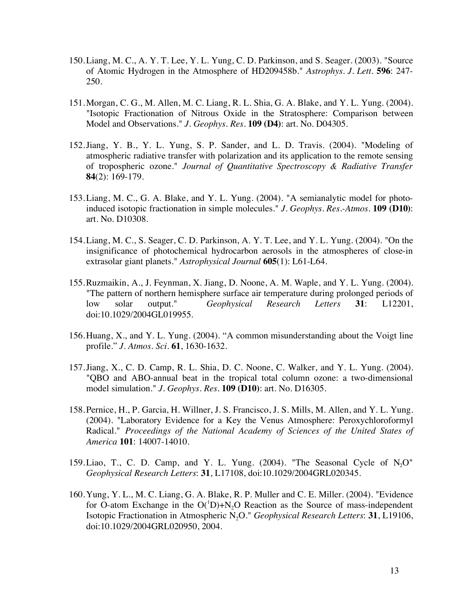- 150.Liang, M. C., A. Y. T. Lee, Y. L. Yung, C. D. Parkinson, and S. Seager. (2003). "Source of Atomic Hydrogen in the Atmosphere of HD209458b." *Astrophys. J. Lett.* **596**: 247- 250.
- 151.Morgan, C. G., M. Allen, M. C. Liang, R. L. Shia, G. A. Blake, and Y. L. Yung. (2004). "Isotopic Fractionation of Nitrous Oxide in the Stratosphere: Comparison between Model and Observations." *J. Geophys. Res.* **109 (D4)**: art. No. D04305.
- 152.Jiang, Y. B., Y. L. Yung, S. P. Sander, and L. D. Travis. (2004). "Modeling of atmospheric radiative transfer with polarization and its application to the remote sensing of tropospheric ozone." *Journal of Quantitative Spectroscopy & Radiative Transfer* **84**(2): 169-179.
- 153.Liang, M. C., G. A. Blake, and Y. L. Yung. (2004). "A semianalytic model for photoinduced isotopic fractionation in simple molecules." *J. Geophys. Res.-Atmos.* **109 (D10)**: art. No. D10308.
- 154.Liang, M. C., S. Seager, C. D. Parkinson, A. Y. T. Lee, and Y. L. Yung. (2004). "On the insignificance of photochemical hydrocarbon aerosols in the atmospheres of close-in extrasolar giant planets." *Astrophysical Journal* **605**(1): L61-L64.
- 155.Ruzmaikin, A., J. Feynman, X. Jiang, D. Noone, A. M. Waple, and Y. L. Yung. (2004). "The pattern of northern hemisphere surface air temperature during prolonged periods of low solar output." *Geophysical Research Letters* **31**: L12201, doi:10.1029/2004GL019955.
- 156.Huang, X., and Y. L. Yung. (2004). "A common misunderstanding about the Voigt line profile." *J. Atmos. Sci.* **61**, 1630-1632.
- 157.Jiang, X., C. D. Camp, R. L. Shia, D. C. Noone, C. Walker, and Y. L. Yung. (2004). "QBO and ABO-annual beat in the tropical total column ozone: a two-dimensional model simulation." *J. Geophys. Res.* **109 (D10)**: art. No. D16305.
- 158.Pernice, H., P. Garcia, H. Willner, J. S. Francisco, J. S. Mills, M. Allen, and Y. L. Yung. (2004). "Laboratory Evidence for a Key the Venus Atmosphere: Peroxychloroformyl Radical." *Proceedings of the National Academy of Sciences of the United States of America* **101**: 14007-14010.
- 159. Liao, T., C. D. Camp, and Y. L. Yung.  $(2004)$ . "The Seasonal Cycle of N<sub>2</sub>O" *Geophysical Research Letters*: **31**, L17108, doi:10.1029/2004GRL020345.
- 160.Yung, Y. L., M. C. Liang, G. A. Blake, R. P. Muller and C. E. Miller. (2004). "Evidence for O-atom Exchange in the  $O(^1D) + N_2O$  Reaction as the Source of mass-independent Isotopic Fractionation in Atmospheric N2O." *Geophysical Research Letters*: **31**, L19106, doi:10.1029/2004GRL020950, 2004.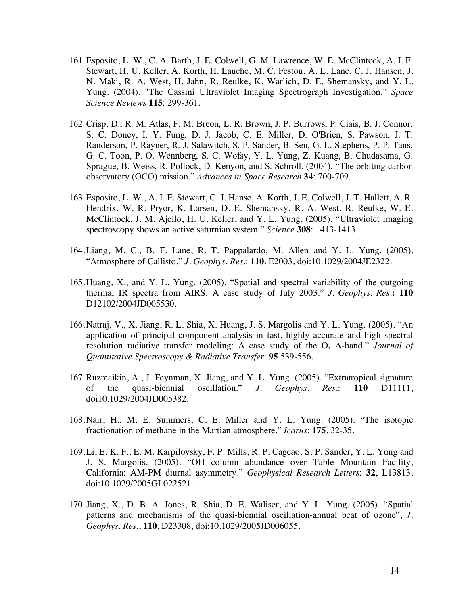- 161.Esposito, L. W., C. A. Barth, J. E. Colwell, G. M. Lawrence, W. E. McClintock, A. I. F. Stewart, H. U. Keller, A. Korth, H. Lauche, M. C. Festou, A. L. Lane, C. J. Hansen, J. N. Maki, R. A. West, H. Jahn, R. Reulke, K. Warlich, D. E. Shemansky, and Y. L. Yung. (2004). "The Cassini Ultraviolet Imaging Spectrograph Investigation." *Space Science Reviews* **115**: 299-361.
- 162.Crisp, D., R. M. Atlas, F. M. Breon, L. R. Brown, J. P. Burrows, P. Ciais, B. J. Connor, S. C. Doney, I. Y. Fung, D. J. Jacob, C. E. Miller, D. O'Brien, S. Pawson, J. T. Randerson, P. Rayner, R. J. Salawitch, S. P. Sander, B. Sen, G. L. Stephens, P. P. Tans, G. C. Toon, P. O. Wennberg, S. C. Wofsy, Y. L. Yung, Z. Kuang, B. Chudasama, G. Sprague, B. Weiss, R. Pollock, D. Kenyon, and S. Schroll. (2004). "The orbiting carbon observatory (OCO) mission." *Advances in Space Research* **34**: 700-709.
- 163.Esposito, L. W., A. I. F. Stewart, C. J. Hanse, A. Korth, J. E. Colwell, J. T. Hallett, A. R. Hendrix, W. R. Pryor, K. Larsen, D. E. Shemansky, R. A. West, R. Reulke, W. E. McClintock, J. M. Ajello, H. U. Keller, and Y. L. Yung. (2005). "Ultraviolet imaging spectroscopy shows an active saturnian system." *Science* **308**: 1413-1413.
- 164.Liang, M. C., B. F. Lane, R. T. Pappalardo, M. Allen and Y. L. Yung. (2005). "Atmosphere of Callisto." *J. Geophys. Res.*: **110**, E2003, doi:10.1029/2004JE2322.
- 165.Huang, X., and Y. L. Yung. (2005). "Spatial and spectral variability of the outgoing thermal IR spectra from AIRS: A case study of July 2003." *J. Geophys. Res.***: 110** D12102/2004JD005530.
- 166.Natraj, V., X. Jiang, R. L. Shia, X. Huang, J. S. Margolis and Y. L. Yung. (2005). "An application of principal component analysis in fast, highly accurate and high spectral resolution radiative transfer modeling: A case study of the  $O_2$  A-band." *Journal of Quantitative Spectroscopy & Radiative Transfer*: **95** 539-556.
- 167.Ruzmaikin, A., J. Feynman, X. Jiang, and Y. L. Yung. (2005). "Extratropical signature of the quasi-biennial oscillation." *J. Geophys. Res.*: **110** D11111, doi10.1029/2004JD005382.
- 168.Nair, H., M. E. Summers, C. E. Miller and Y. L. Yung. (2005). "The isotopic fractionation of methane in the Martian atmosphere." *Icarus*: **175**, 32-35.
- 169.Li, E. K. F., E. M. Karpilovsky, F. P. Mills, R. P. Cageao, S. P. Sander, Y. L. Yung and J. S. Margolis. (2005). "OH column abundance over Table Mountain Facility, California: AM-PM diurnal asymmetry." *Geophysical Research Letters*: **32**, L13813, doi:10.1029/2005GL022521.
- 170.Jiang, X., D. B. A. Jones, R. Shia, D. E. Waliser, and Y. L. Yung. (2005). "Spatial patterns and mechanisms of the quasi-biennial oscillation-annual beat of ozone", *J. Geophys. Res*., **110**, D23308, doi:10.1029/2005JD006055.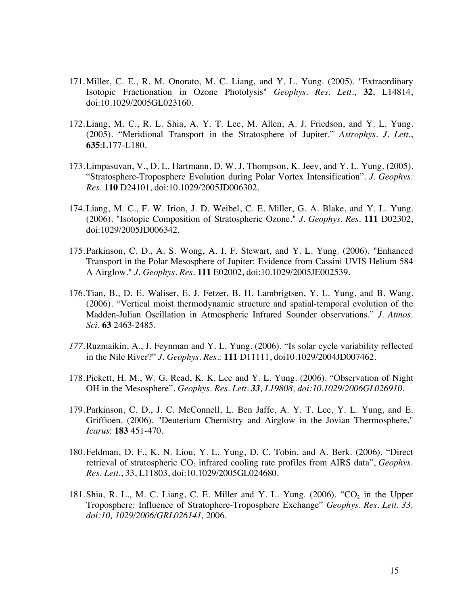- 171.Miller, C. E., R. M. Onorato, M. C. Liang, and Y. L. Yung. (2005). "Extraordinary Isotopic Fractionation in Ozone Photolysis" *Geophys. Res. Lett.*, **32**, L14814, doi:10.1029/2005GL023160.
- 172.Liang, M. C., R. L. Shia, A. Y. T. Lee, M. Allen, A. J. Friedson, and Y. L. Yung. (2005). "Meridional Transport in the Stratosphere of Jupiter." *Astrophys. J. Lett*., **635**:L177-L180.
- 173.Limpasuvan, V., D. L. Hartmann, D. W. J. Thompson, K. Jeev, and Y. L. Yung. (2005). "Stratosphere-Troposphere Evolution during Polar Vortex Intensification". *J. Geophys. Res.* **110** D24101, doi:10.1029/2005JD006302.
- 174.Liang, M. C., F. W. Irion, J. D. Weibel, C. E. Miller, G. A. Blake, and Y. L. Yung. (2006). "Isotopic Composition of Stratospheric Ozone." *J. Geophys. Res.* **111** D02302, doi:1029/2005JD006342.
- 175.Parkinson, C. D., A. S. Wong, A. I. F. Stewart, and Y. L. Yung. (2006). "Enhanced Transport in the Polar Mesosphere of Jupiter: Evidence from Cassini UVIS Helium 584 A Airglow." *J. Geophys. Res.* **111** E02002, doi:10.1029/2005JE002539.
- 176.Tian, B., D. E. Waliser, E. J. Fetzer, B. H. Lambrigtsen, Y. L. Yung, and B. Wang. (2006). "Vertical moist thermodynamic structure and spatial-temporal evolution of the Madden-Julian Oscillation in Atmospheric Infrared Sounder observations." *J. Atmos. Sci.* **63** 2463-2485.
- *177.*Ruzmaikin, A., J. Feynman and Y. L. Yung. (2006). "Is solar cycle variability reflected in the Nile River?" *J. Geophys. Res.*: **111** D11111, doi10.1029/2004JD007462.
- 178.Pickett, H. M., W. G. Read, K. K. Lee and Y. L. Yung. (2006). "Observation of Night OH in the Mesosphere". *Geophys. Res. Lett. 33, L19808, doi:10.1029/2006GL026910.*
- 179.Parkinson, C. D., J. C. McConnell, L. Ben Jaffe, A. Y. T. Lee, Y. L. Yung, and E. Griffioen. (2006). "Deuterium Chemistry and Airglow in the Jovian Thermosphere." *Icarus*: **183** 451-470.
- 180.Feldman, D. F., K. N. Liou, Y. L. Yung, D. C. Tobin, and A. Berk. (2006). "Direct retrieval of stratospheric CO<sub>2</sub> infrared cooling rate profiles from AIRS data", *Geophys. Res. Lett.*, 33, L11803, doi:10.1029/2005GL024680.
- 181. Shia, R. L., M. C. Liang, C. E. Miller and Y. L. Yung.  $(2006)$ . "CO<sub>2</sub> in the Upper Troposphere: Influence of Stratophere-Troposphere Exchange" *Geophys. Res. Lett. 33, doi:10, 1029/2006/GRL026141,* 2006.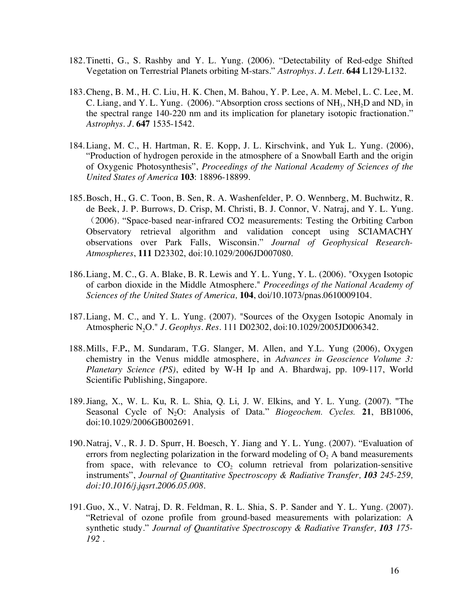- 182.Tinetti, G., S. Rashby and Y. L. Yung. (2006). "Detectability of Red-edge Shifted Vegetation on Terrestrial Planets orbiting M-stars." *Astrophys. J. Lett.* **644** L129-L132.
- 183.Cheng, B. M., H. C. Liu, H. K. Chen, M. Bahou, Y. P. Lee, A. M. Mebel, L. C. Lee, M. C. Liang, and Y. L. Yung. (2006). "Absorption cross sections of  $NH<sub>3</sub>$ , NH<sub>2</sub>D and ND<sub>3</sub> in the spectral range 140-220 nm and its implication for planetary isotopic fractionation." *Astrophys. J.* **647** 1535-1542.
- 184.Liang, M. C., H. Hartman, R. E. Kopp, J. L. Kirschvink, and Yuk L. Yung. (2006), "Production of hydrogen peroxide in the atmosphere of a Snowball Earth and the origin of Oxygenic Photosynthesis", *Proceedings of the National Academy of Sciences of the United States of America* **103**: 18896-18899.
- 185.Bosch, H., G. C. Toon, B. Sen, R. A. Washenfelder, P. O. Wennberg, M. Buchwitz, R. de Beek, J. P. Burrows, D. Crisp, M. Christi, B. J. Connor, V. Natraj, and Y. L. Yung. (2006). "Space-based near-infrared CO2 measurements: Testing the Orbiting Carbon Observatory retrieval algorithm and validation concept using SCIAMACHY observations over Park Falls, Wisconsin." *Journal of Geophysical Research-Atmospheres*, **111** D23302, doi:10.1029/2006JD007080.
- 186.Liang, M. C., G. A. Blake, B. R. Lewis and Y. L. Yung, Y. L. (2006). "Oxygen Isotopic of carbon dioxide in the Middle Atmosphere." *Proceedings of the National Academy of Sciences of the United States of America,* **104**, doi/10.1073/pnas.0610009104.
- 187.Liang, M. C., and Y. L. Yung. (2007). "Sources of the Oxygen Isotopic Anomaly in Atmospheric N2O." *J. Geophys. Res.* 111 D02302, doi:10.1029/2005JD006342.
- 188.Mills, F.P**.**, M. Sundaram, T.G. Slanger, M. Allen, and Y.L. Yung (2006), Oxygen chemistry in the Venus middle atmosphere, in *Advances in Geoscience Volume 3: Planetary Science (PS)*, edited by W-H Ip and A. Bhardwaj, pp. 109-117, World Scientific Publishing, Singapore.
- 189.Jiang, X., W. L. Ku, R. L. Shia, Q. Li, J. W. Elkins, and Y. L. Yung. (2007). "The Seasonal Cycle of N2O: Analysis of Data." *Biogeochem. Cycles.* **21**, BB1006, doi:10.1029/2006GB002691.
- 190.Natraj, V., R. J. D. Spurr, H. Boesch, Y. Jiang and Y. L. Yung. (2007). "Evaluation of errors from neglecting polarization in the forward modeling of  $O<sub>2</sub>$ . A band measurements from space, with relevance to  $CO<sub>2</sub>$  column retrieval from polarization-sensitive instruments", *Journal of Quantitative Spectroscopy & Radiative Transfer, 103 245-259, doi:10.1016/j.jqsrt.2006.05.008.*
- 191.Guo, X., V. Natraj, D. R. Feldman, R. L. Shia, S. P. Sander and Y. L. Yung. (2007). "Retrieval of ozone profile from ground-based measurements with polarization: A synthetic study." *Journal of Quantitative Spectroscopy & Radiative Transfer, 103 175- 192 .*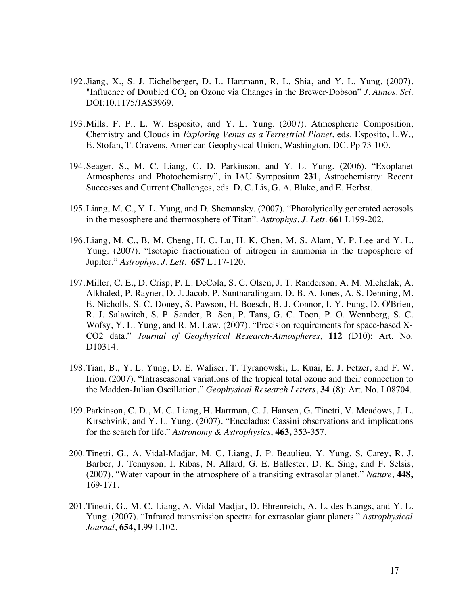- 192.Jiang, X., S. J. Eichelberger, D. L. Hartmann, R. L. Shia, and Y. L. Yung. (2007). "Influence of Doubled  $CO<sub>2</sub>$  on Ozone via Changes in the Brewer-Dobson" *J. Atmos. Sci.* DOI:10.1175/JAS3969.
- 193.Mills, F. P., L. W. Esposito, and Y. L. Yung. (2007). Atmospheric Composition, Chemistry and Clouds in *Exploring Venus as a Terrestrial Planet*, eds. Esposito, L.W., E. Stofan, T. Cravens, American Geophysical Union, Washington, DC. Pp 73-100.
- 194.Seager, S., M. C. Liang, C. D. Parkinson, and Y. L. Yung. (2006). "Exoplanet Atmospheres and Photochemistry", in IAU Symposium **231**, Astrochemistry: Recent Successes and Current Challenges, eds. D. C. Lis, G. A. Blake, and E. Herbst.
- 195.Liang, M. C., Y. L. Yung, and D. Shemansky. (2007). "Photolytically generated aerosols in the mesosphere and thermosphere of Titan". *Astrophys. J. Lett.* **661** L199-202.
- 196.Liang, M. C., B. M. Cheng, H. C. Lu, H. K. Chen, M. S. Alam, Y. P. Lee and Y. L. Yung. (2007). "Isotopic fractionation of nitrogen in ammonia in the troposphere of Jupiter." *Astrophys. J. Lett.* **657** L117-120.
- 197.Miller, C. E., D. Crisp, P. L. DeCola, S. C. Olsen, J. T. Randerson, A. M. Michalak, A. Alkhaled, P. Rayner, D. J. Jacob, P. Suntharalingam, D. B. A. Jones, A. S. Denning, M. E. Nicholls, S. C. Doney, S. Pawson, H. Boesch, B. J. Connor, I. Y. Fung, D. O'Brien, R. J. Salawitch, S. P. Sander, B. Sen, P. Tans, G. C. Toon, P. O. Wennberg, S. C. Wofsy, Y. L. Yung, and R. M. Law. (2007). "Precision requirements for space-based X-CO2 data." *Journal of Geophysical Research-Atmospheres*, **112** (D10): Art. No. D10314.
- 198.Tian, B., Y. L. Yung, D. E. Waliser, T. Tyranowski, L. Kuai, E. J. Fetzer, and F. W. Irion. (2007). "Intraseasonal variations of the tropical total ozone and their connection to the Madden-Julian Oscillation." *Geophysical Research Letters*, **34** (8): Art. No. L08704.
- 199.Parkinson, C. D., M. C. Liang, H. Hartman, C. J. Hansen, G. Tinetti, V. Meadows, J. L. Kirschvink, and Y. L. Yung. (2007). "Enceladus: Cassini observations and implications for the search for life." *Astronomy & Astrophysics*, **463,** 353-357.
- 200.Tinetti, G., A. Vidal-Madjar, M. C. Liang, J. P. Beaulieu, Y. Yung, S. Carey, R. J. Barber, J. Tennyson, I. Ribas, N. Allard, G. E. Ballester, D. K. Sing, and F. Selsis, (2007). "Water vapour in the atmosphere of a transiting extrasolar planet." *Nature*, **448,** 169-171.
- 201.Tinetti, G., M. C. Liang, A. Vidal-Madjar, D. Ehrenreich, A. L. des Etangs, and Y. L. Yung. (2007). "Infrared transmission spectra for extrasolar giant planets." *Astrophysical Journal*, **654,** L99-L102.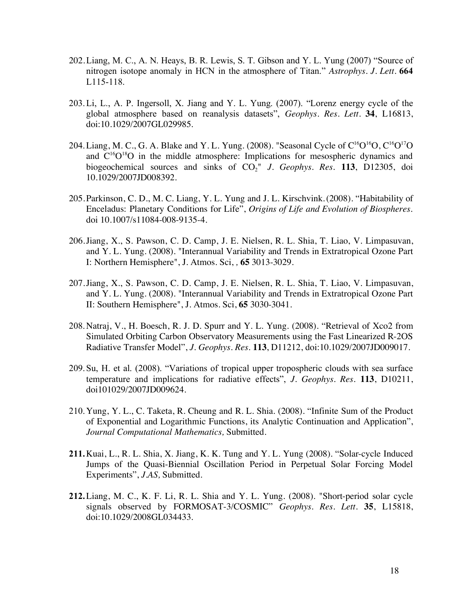- 202.Liang, M. C., A. N. Heays, B. R. Lewis, S. T. Gibson and Y. L. Yung (2007) "Source of nitrogen isotope anomaly in HCN in the atmosphere of Titan." *Astrophys. J. Lett.* **664** L115-118.
- 203.Li, L., A. P. Ingersoll, X. Jiang and Y. L. Yung. (2007). "Lorenz energy cycle of the global atmosphere based on reanalysis datasets", *Geophys. Res. Lett.* **34**, L16813, doi:10.1029/2007GL029985.
- 204. Liang, M. C., G. A. Blake and Y. L. Yung. (2008). "Seasonal Cycle of  $C^{16}O^{16}O$ ,  $C^{16}O^{17}O$ and  $C^{16}O^{18}O$  in the middle atmosphere: Implications for mesospheric dynamics and biogeochemical sources and sinks of CO<sub>2</sub>" *J. Geophys. Res.* 113, D12305, doi 10.1029/2007JD008392.
- 205.Parkinson, C. D., M. C. Liang, Y. L. Yung and J. L. Kirschvink.(2008). "Habitability of Enceladus: Planetary Conditions for Life", *Origins of Life and Evolution of Biospheres.* doi 10.1007/s11084-008-9135-4.
- 206.Jiang, X., S. Pawson, C. D. Camp, J. E. Nielsen, R. L. Shia, T. Liao, V. Limpasuvan, and Y. L. Yung. (2008). "Interannual Variability and Trends in Extratropical Ozone Part I: Northern Hemisphere", J. Atmos. Sci, *,* **65** 3013-3029.
- 207.Jiang, X., S. Pawson, C. D. Camp, J. E. Nielsen, R. L. Shia, T. Liao, V. Limpasuvan, and Y. L. Yung. (2008). "Interannual Variability and Trends in Extratropical Ozone Part II: Southern Hemisphere", J. Atmos. Sci, **65** 3030-3041.
- 208.Natraj, V., H. Boesch, R. J. D. Spurr and Y. L. Yung. (2008). "Retrieval of Xco2 from Simulated Orbiting Carbon Observatory Measurements using the Fast Linearized R-2OS Radiative Transfer Model", *J. Geophys. Res.* **113**, D11212, doi:10.1029/2007JD009017.
- 209.Su, H. et al. (2008). "Variations of tropical upper tropospheric clouds with sea surface temperature and implications for radiative effects", *J. Geophys. Res.* **113**, D10211, doi101029/2007JD009624.
- 210.Yung, Y. L., C. Taketa, R. Cheung and R. L. Shia. (2008). "Infinite Sum of the Product of Exponential and Logarithmic Functions, its Analytic Continuation and Application", *Journal Computational Mathematics,* Submitted.
- **211.**Kuai, L., R. L. Shia, X. Jiang, K. K. Tung and Y. L. Yung (2008). "Solar-cycle Induced Jumps of the Quasi-Biennial Oscillation Period in Perpetual Solar Forcing Model Experiments", *J.AS,* Submitted.
- **212.**Liang, M. C., K. F. Li, R. L. Shia and Y. L. Yung. (2008). "Short-period solar cycle signals observed by FORMOSAT-3/COSMIC" *Geophys. Res. Lett.* **35**, L15818, doi:10.1029/2008GL034433.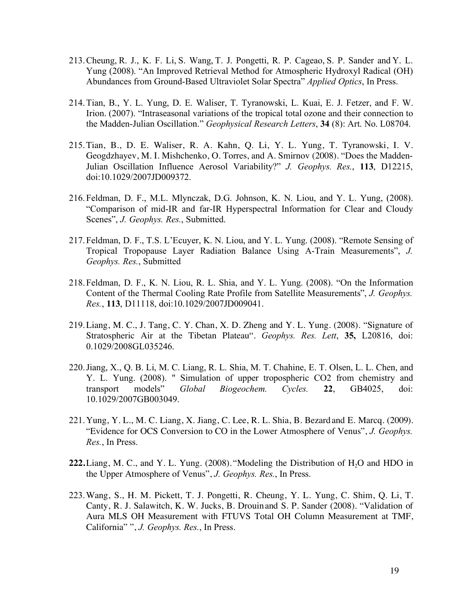- 213.Cheung, R. J., K. F. Li, S. Wang, T. J. Pongetti, R. P. Cageao, S. P. Sander and Y. L. Yung (2008). "An Improved Retrieval Method for Atmospheric Hydroxyl Radical (OH) Abundances from Ground-Based Ultraviolet Solar Spectra" *Applied Optics*, In Press.
- 214.Tian, B., Y. L. Yung, D. E. Waliser, T. Tyranowski, L. Kuai, E. J. Fetzer, and F. W. Irion. (2007). "Intraseasonal variations of the tropical total ozone and their connection to the Madden-Julian Oscillation." *Geophysical Research Letters*, **34** (8): Art. No. L08704.
- 215.Tian, B., D. E. Waliser, R. A. Kahn, Q. Li, Y. L. Yung, T. Tyranowski, I. V. Geogdzhayev, M. I. Mishchenko, O. Torres, and A. Smirnov (2008). "Does the Madden-Julian Oscillation Influence Aerosol Variability?" *J. Geophys. Res.*, **113**, D12215, doi:10.1029/2007JD009372.
- 216.Feldman, D. F., M.L. Mlynczak, D.G. Johnson, K. N. Liou, and Y. L. Yung, (2008). "Comparison of mid-IR and far-IR Hyperspectral Information for Clear and Cloudy Scenes", *J. Geophys. Res.*, Submitted.
- 217.Feldman, D. F., T.S. L'Ecuyer, K. N. Liou, and Y. L. Yung. (2008). "Remote Sensing of Tropical Tropopause Layer Radiation Balance Using A-Train Measurements", *J. Geophys. Res.*, Submitted
- 218.Feldman, D. F., K. N. Liou, R. L. Shia, and Y. L. Yung. (2008). "On the Information Content of the Thermal Cooling Rate Profile from Satellite Measurements", *J. Geophys. Res.*, **113**, D11118, doi:10.1029/2007JD009041.
- 219.Liang, M. C., J. Tang, C. Y. Chan, X. D. Zheng and Y. L. Yung. (2008). "Signature of Stratospheric Air at the Tibetan Plateau". *Geophys. Res. Lett*, **35,** L20816, doi: 0.1029/2008GL035246.
- 220.Jiang, X., Q. B. Li, M. C. Liang, R. L. Shia, M. T. Chahine, E. T. Olsen, L. L. Chen, and Y. L. Yung. (2008). " Simulation of upper tropospheric CO2 from chemistry and transport models" *Global Biogeochem. Cycles.* **22**, GB4025, doi: 10.1029/2007GB003049.
- 221.Yung, Y. L., M. C. Liang, X. Jiang, C. Lee, R. L. Shia, B. Bezardand E. Marcq. (2009). "Evidence for OCS Conversion to CO in the Lower Atmosphere of Venus", *J. Geophys. Res.*, In Press.
- **222.** Liang, M. C., and Y. L. Yung. (2008). "Modeling the Distribution of H<sub>2</sub>O and HDO in the Upper Atmosphere of Venus", *J. Geophys. Res.*, In Press.
- 223.Wang, S., H. M. Pickett, T. J. Pongetti, R. Cheung, Y. L. Yung, C. Shim, Q. Li, T. Canty, R. J. Salawitch, K. W. Jucks, B. Drouinand S. P. Sander (2008). "Validation of Aura MLS OH Measurement with FTUVS Total OH Column Measurement at TMF, California" ", *J. Geophys. Res.*, In Press.